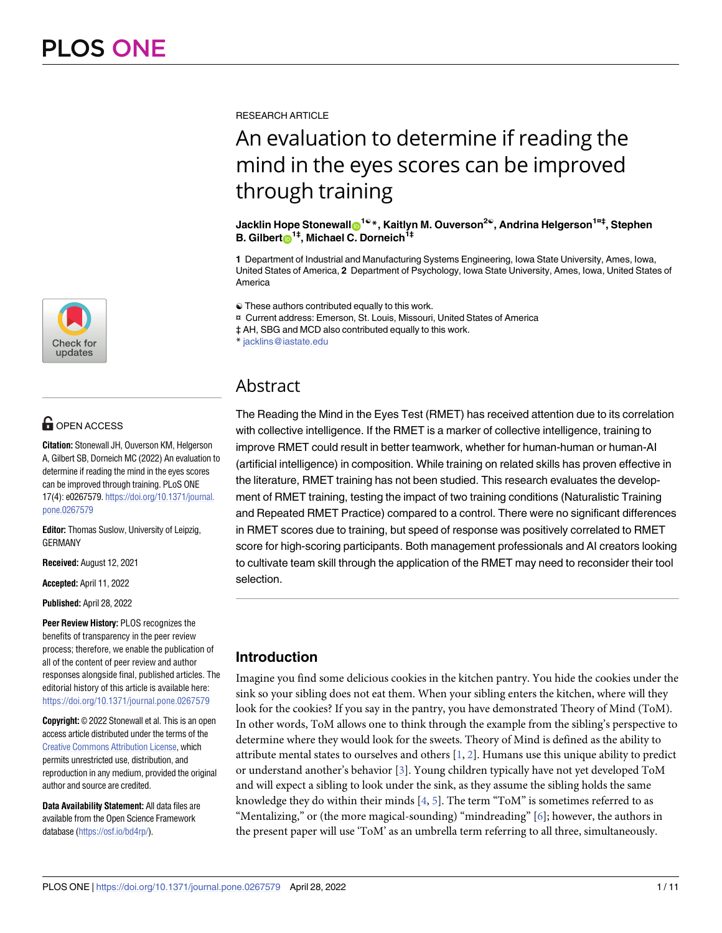

# **OPEN ACCESS**

**Citation:** Stonewall JH, Ouverson KM, Helgerson A, Gilbert SB, Dorneich MC (2022) An evaluation to determine if reading the mind in the eyes scores can be improved through training. PLoS ONE 17(4): e0267579. [https://doi.org/10.1371/journal.](https://doi.org/10.1371/journal.pone.0267579) [pone.0267579](https://doi.org/10.1371/journal.pone.0267579)

**Editor:** Thomas Suslow, University of Leipzig, GERMANY

**Received:** August 12, 2021

**Accepted:** April 11, 2022

**Published:** April 28, 2022

**Peer Review History:** PLOS recognizes the benefits of transparency in the peer review process; therefore, we enable the publication of all of the content of peer review and author responses alongside final, published articles. The editorial history of this article is available here: <https://doi.org/10.1371/journal.pone.0267579>

**Copyright:** © 2022 Stonewall et al. This is an open access article distributed under the terms of the Creative Commons [Attribution](http://creativecommons.org/licenses/by/4.0/) License, which permits unrestricted use, distribution, and reproduction in any medium, provided the original author and source are credited.

**Data Availability Statement:** All data files are available from the Open Science Framework database ([https://osf.io/bd4rp/\)](https://osf.io/bd4rp/).

<span id="page-0-0"></span>RESEARCH ARTICLE

# An evaluation to determine if reading the mind in the eyes scores can be improved through training

 $\Delta$ Jacklin Hope Stonewall $\textbf{O}^{\text{1@}}$ \*, Kaitlyn M. Ouverson<sup>2©</sup>, Andrina Helgerson<sup>1¤‡</sup>, Stephen **B. Gilbert[ID1](https://orcid.org/0000-0002-5332-029X)‡, Michael C. Dorneich1‡**

**1** Department of Industrial and Manufacturing Systems Engineering, Iowa State University, Ames, Iowa, United States of America, **2** Department of Psychology, Iowa State University, Ames, Iowa, United States of America

☯ These authors contributed equally to this work.

¤ Current address: Emerson, St. Louis, Missouri, United States of America

‡ AH, SBG and MCD also contributed equally to this work.

\* jacklins@iastate.edu

# Abstract

The Reading the Mind in the Eyes Test (RMET) has received attention due to its correlation with collective intelligence. If the RMET is a marker of collective intelligence, training to improve RMET could result in better teamwork, whether for human-human or human-AI (artificial intelligence) in composition. While training on related skills has proven effective in the literature, RMET training has not been studied. This research evaluates the development of RMET training, testing the impact of two training conditions (Naturalistic Training and Repeated RMET Practice) compared to a control. There were no significant differences in RMET scores due to training, but speed of response was positively correlated to RMET score for high-scoring participants. Both management professionals and AI creators looking to cultivate team skill through the application of the RMET may need to reconsider their tool selection.

# **Introduction**

Imagine you find some delicious cookies in the kitchen pantry. You hide the cookies under the sink so your sibling does not eat them. When your sibling enters the kitchen, where will they look for the cookies? If you say in the pantry, you have demonstrated Theory of Mind (ToM). In other words, ToM allows one to think through the example from the sibling's perspective to determine where they would look for the sweets. Theory of Mind is defined as the ability to attribute mental states to ourselves and others [\[1](#page-9-0), [2](#page-9-0)]. Humans use this unique ability to predict or understand another's behavior [\[3](#page-9-0)]. Young children typically have not yet developed ToM and will expect a sibling to look under the sink, as they assume the sibling holds the same knowledge they do within their minds  $[4, 5]$  $[4, 5]$  $[4, 5]$  $[4, 5]$ . The term "ToM" is sometimes referred to as "Mentalizing," or (the more magical-sounding) "mindreading" [[6\]](#page-9-0); however, the authors in the present paper will use 'ToM' as an umbrella term referring to all three, simultaneously.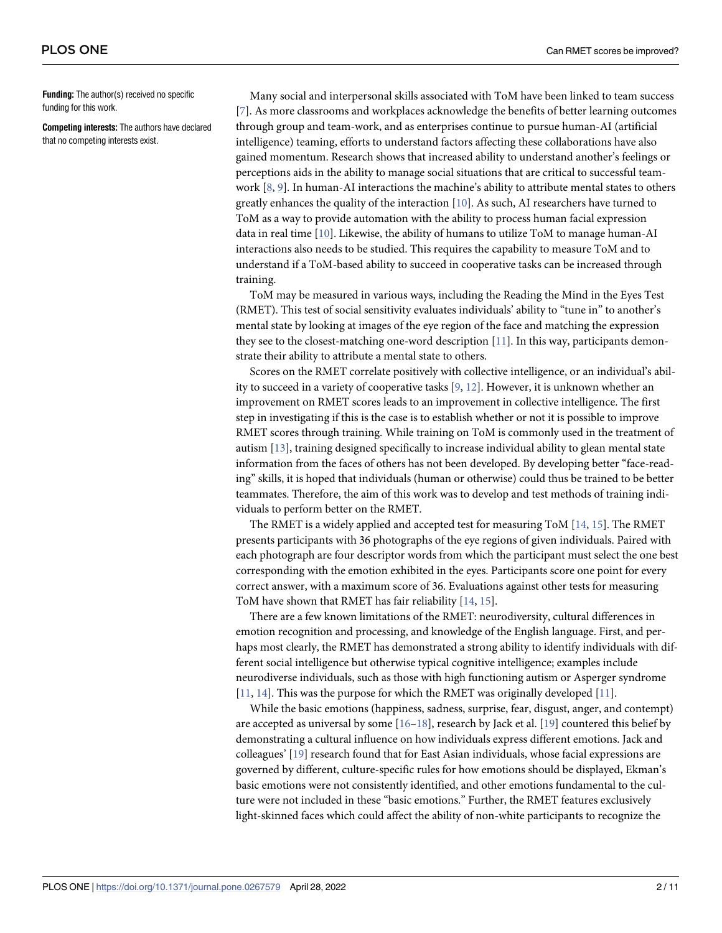<span id="page-1-0"></span>**Funding:** The author(s) received no specific funding for this work.

**Competing interests:** The authors have declared that no competing interests exist.

Many social and interpersonal skills associated with ToM have been linked to team success [\[7](#page-9-0)]. As more classrooms and workplaces acknowledge the benefits of better learning outcomes through group and team-work, and as enterprises continue to pursue human-AI (artificial intelligence) teaming, efforts to understand factors affecting these collaborations have also gained momentum. Research shows that increased ability to understand another's feelings or perceptions aids in the ability to manage social situations that are critical to successful teamwork [\[8,](#page-9-0) [9](#page-9-0)]. In human-AI interactions the machine's ability to attribute mental states to others greatly enhances the quality of the interaction [[10](#page-9-0)]. As such, AI researchers have turned to ToM as a way to provide automation with the ability to process human facial expression data in real time [\[10\]](#page-9-0). Likewise, the ability of humans to utilize ToM to manage human-AI interactions also needs to be studied. This requires the capability to measure ToM and to understand if a ToM-based ability to succeed in cooperative tasks can be increased through training.

ToM may be measured in various ways, including the Reading the Mind in the Eyes Test (RMET). This test of social sensitivity evaluates individuals' ability to "tune in" to another's mental state by looking at images of the eye region of the face and matching the expression they see to the closest-matching one-word description [\[11\]](#page-9-0). In this way, participants demonstrate their ability to attribute a mental state to others.

Scores on the RMET correlate positively with collective intelligence, or an individual's ability to succeed in a variety of cooperative tasks  $[9, 12]$  $[9, 12]$  $[9, 12]$  $[9, 12]$ . However, it is unknown whether an improvement on RMET scores leads to an improvement in collective intelligence. The first step in investigating if this is the case is to establish whether or not it is possible to improve RMET scores through training. While training on ToM is commonly used in the treatment of autism [[13](#page-9-0)], training designed specifically to increase individual ability to glean mental state information from the faces of others has not been developed. By developing better "face-reading" skills, it is hoped that individuals (human or otherwise) could thus be trained to be better teammates. Therefore, the aim of this work was to develop and test methods of training individuals to perform better on the RMET.

The RMET is a widely applied and accepted test for measuring ToM [[14](#page-9-0), [15](#page-9-0)]. The RMET presents participants with 36 photographs of the eye regions of given individuals. Paired with each photograph are four descriptor words from which the participant must select the one best corresponding with the emotion exhibited in the eyes. Participants score one point for every correct answer, with a maximum score of 36. Evaluations against other tests for measuring ToM have shown that RMET has fair reliability [\[14,](#page-9-0) [15](#page-9-0)].

There are a few known limitations of the RMET: neurodiversity, cultural differences in emotion recognition and processing, and knowledge of the English language. First, and perhaps most clearly, the RMET has demonstrated a strong ability to identify individuals with different social intelligence but otherwise typical cognitive intelligence; examples include neurodiverse individuals, such as those with high functioning autism or Asperger syndrome [\[11,](#page-9-0) [14\]](#page-9-0). This was the purpose for which the RMET was originally developed [\[11\]](#page-9-0).

While the basic emotions (happiness, sadness, surprise, fear, disgust, anger, and contempt) are accepted as universal by some  $[16–18]$  $[16–18]$ , research by Jack et al.  $[19]$  countered this belief by demonstrating a cultural influence on how individuals express different emotions. Jack and colleagues' [\[19\]](#page-10-0) research found that for East Asian individuals, whose facial expressions are governed by different, culture-specific rules for how emotions should be displayed, Ekman's basic emotions were not consistently identified, and other emotions fundamental to the culture were not included in these "basic emotions." Further, the RMET features exclusively light-skinned faces which could affect the ability of non-white participants to recognize the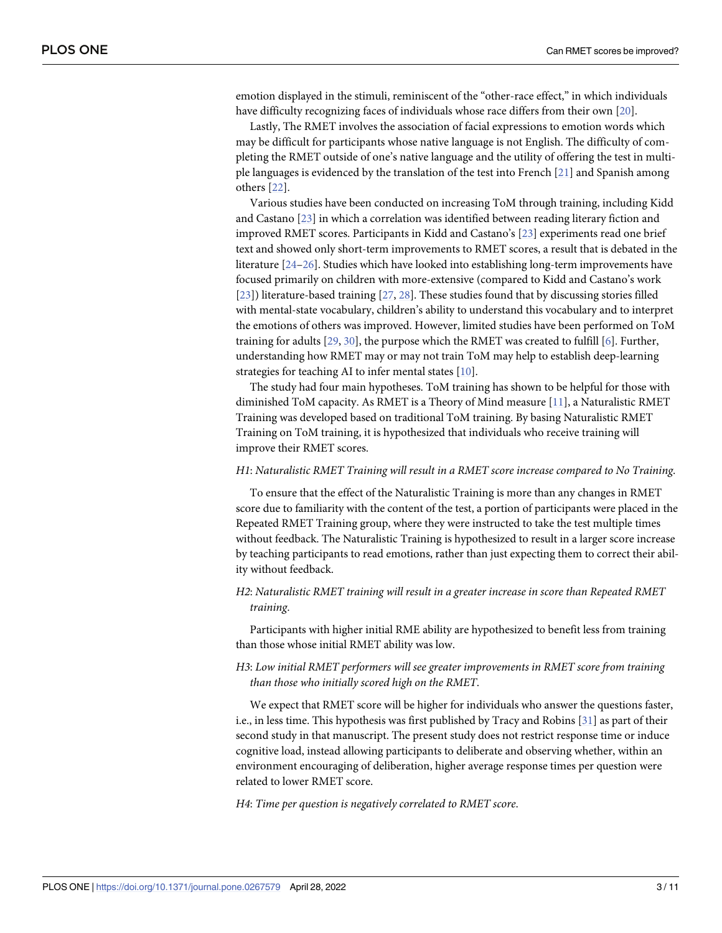<span id="page-2-0"></span>emotion displayed in the stimuli, reminiscent of the "other-race effect," in which individuals have difficulty recognizing faces of individuals whose race differs from their own [[20](#page-10-0)].

Lastly, The RMET involves the association of facial expressions to emotion words which may be difficult for participants whose native language is not English. The difficulty of completing the RMET outside of one's native language and the utility of offering the test in multiple languages is evidenced by the translation of the test into French [\[21](#page-10-0)] and Spanish among others [[22](#page-10-0)].

Various studies have been conducted on increasing ToM through training, including Kidd and Castano [\[23\]](#page-10-0) in which a correlation was identified between reading literary fiction and improved RMET scores. Participants in Kidd and Castano's [[23](#page-10-0)] experiments read one brief text and showed only short-term improvements to RMET scores, a result that is debated in the literature [\[24–26](#page-10-0)]. Studies which have looked into establishing long-term improvements have focused primarily on children with more-extensive (compared to Kidd and Castano's work [\[23\]](#page-10-0)) literature-based training [\[27,](#page-10-0) [28\]](#page-10-0). These studies found that by discussing stories filled with mental-state vocabulary, children's ability to understand this vocabulary and to interpret the emotions of others was improved. However, limited studies have been performed on ToM training for adults [[29](#page-10-0), [30](#page-10-0)], the purpose which the RMET was created to fulfill [[6](#page-9-0)]. Further, understanding how RMET may or may not train ToM may help to establish deep-learning strategies for teaching AI to infer mental states [\[10\]](#page-9-0).

The study had four main hypotheses. ToM training has shown to be helpful for those with diminished ToM capacity. As RMET is a Theory of Mind measure [[11](#page-9-0)], a Naturalistic RMET Training was developed based on traditional ToM training. By basing Naturalistic RMET Training on ToM training, it is hypothesized that individuals who receive training will improve their RMET scores.

#### *H1*: *Naturalistic RMET Training will result in a RMET score increase compared to No Training*.

To ensure that the effect of the Naturalistic Training is more than any changes in RMET score due to familiarity with the content of the test, a portion of participants were placed in the Repeated RMET Training group, where they were instructed to take the test multiple times without feedback. The Naturalistic Training is hypothesized to result in a larger score increase by teaching participants to read emotions, rather than just expecting them to correct their ability without feedback.

# *H2*: *Naturalistic RMET training will result in a greater increase in score than Repeated RMET training*.

Participants with higher initial RME ability are hypothesized to benefit less from training than those whose initial RMET ability was low.

# *H3*: *Low initial RMET performers will see greater improvements in RMET score from training than those who initially scored high on the RMET*.

We expect that RMET score will be higher for individuals who answer the questions faster, i.e., in less time. This hypothesis was first published by Tracy and Robins [[31](#page-10-0)] as part of their second study in that manuscript. The present study does not restrict response time or induce cognitive load, instead allowing participants to deliberate and observing whether, within an environment encouraging of deliberation, higher average response times per question were related to lower RMET score.

*H4*: *Time per question is negatively correlated to RMET score*.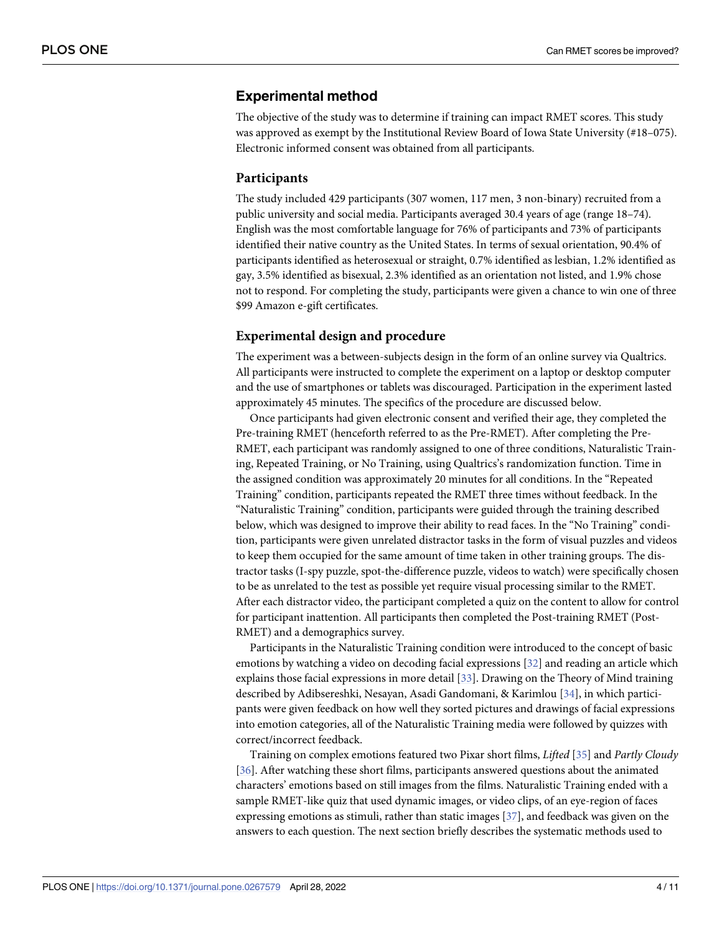# <span id="page-3-0"></span>**Experimental method**

The objective of the study was to determine if training can impact RMET scores. This study was approved as exempt by the Institutional Review Board of Iowa State University (#18–075). Electronic informed consent was obtained from all participants.

#### **Participants**

The study included 429 participants (307 women, 117 men, 3 non-binary) recruited from a public university and social media. Participants averaged 30.4 years of age (range 18–74). English was the most comfortable language for 76% of participants and 73% of participants identified their native country as the United States. In terms of sexual orientation, 90.4% of participants identified as heterosexual or straight, 0.7% identified as lesbian, 1.2% identified as gay, 3.5% identified as bisexual, 2.3% identified as an orientation not listed, and 1.9% chose not to respond. For completing the study, participants were given a chance to win one of three \$99 Amazon e-gift certificates.

# **Experimental design and procedure**

The experiment was a between-subjects design in the form of an online survey via Qualtrics. All participants were instructed to complete the experiment on a laptop or desktop computer and the use of smartphones or tablets was discouraged. Participation in the experiment lasted approximately 45 minutes. The specifics of the procedure are discussed below.

Once participants had given electronic consent and verified their age, they completed the Pre-training RMET (henceforth referred to as the Pre-RMET). After completing the Pre-RMET, each participant was randomly assigned to one of three conditions, Naturalistic Training, Repeated Training, or No Training, using Qualtrics's randomization function. Time in the assigned condition was approximately 20 minutes for all conditions. In the "Repeated Training" condition, participants repeated the RMET three times without feedback. In the "Naturalistic Training" condition, participants were guided through the training described below, which was designed to improve their ability to read faces. In the "No Training" condition, participants were given unrelated distractor tasks in the form of visual puzzles and videos to keep them occupied for the same amount of time taken in other training groups. The distractor tasks (I-spy puzzle, spot-the-difference puzzle, videos to watch) were specifically chosen to be as unrelated to the test as possible yet require visual processing similar to the RMET. After each distractor video, the participant completed a quiz on the content to allow for control for participant inattention. All participants then completed the Post-training RMET (Post-RMET) and a demographics survey.

Participants in the Naturalistic Training condition were introduced to the concept of basic emotions by watching a video on decoding facial expressions [\[32\]](#page-10-0) and reading an article which explains those facial expressions in more detail [[33](#page-10-0)]. Drawing on the Theory of Mind training described by Adibsereshki, Nesayan, Asadi Gandomani, & Karimlou [\[34\]](#page-10-0), in which participants were given feedback on how well they sorted pictures and drawings of facial expressions into emotion categories, all of the Naturalistic Training media were followed by quizzes with correct/incorrect feedback.

Training on complex emotions featured two Pixar short films, *Lifted* [[35](#page-10-0)] and *Partly Cloudy* [\[36\]](#page-10-0). After watching these short films, participants answered questions about the animated characters' emotions based on still images from the films. Naturalistic Training ended with a sample RMET-like quiz that used dynamic images, or video clips, of an eye-region of faces expressing emotions as stimuli, rather than static images [\[37\]](#page-10-0), and feedback was given on the answers to each question. The next section briefly describes the systematic methods used to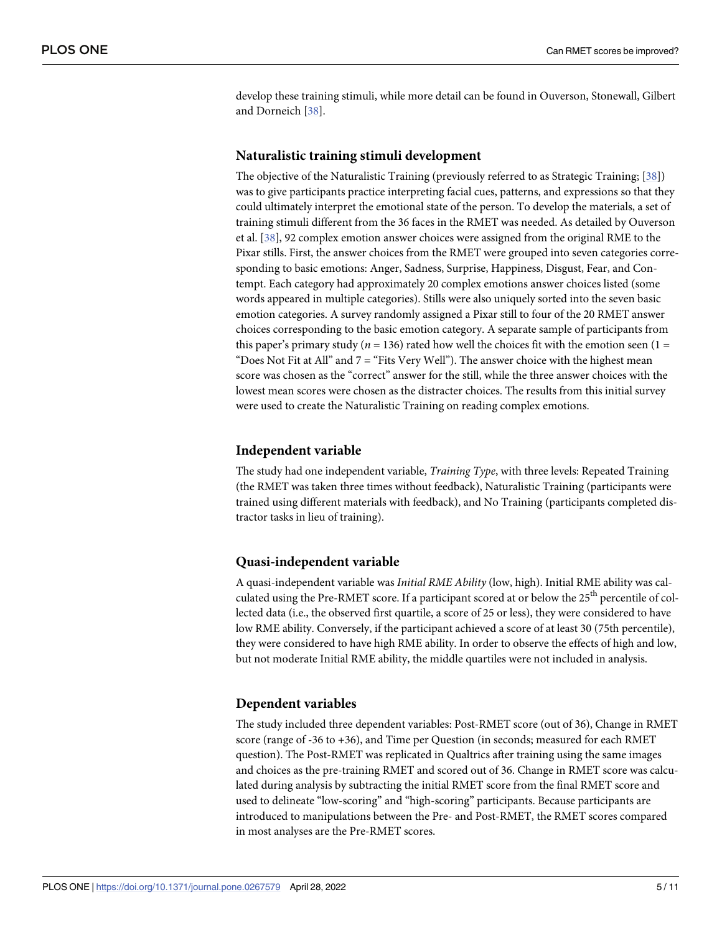<span id="page-4-0"></span>develop these training stimuli, while more detail can be found in Ouverson, Stonewall, Gilbert and Dorneich [[38](#page-10-0)].

# **Naturalistic training stimuli development**

The objective of the Naturalistic Training (previously referred to as Strategic Training; [[38](#page-10-0)]) was to give participants practice interpreting facial cues, patterns, and expressions so that they could ultimately interpret the emotional state of the person. To develop the materials, a set of training stimuli different from the 36 faces in the RMET was needed. As detailed by Ouverson et al. [\[38\]](#page-10-0), 92 complex emotion answer choices were assigned from the original RME to the Pixar stills. First, the answer choices from the RMET were grouped into seven categories corresponding to basic emotions: Anger, Sadness, Surprise, Happiness, Disgust, Fear, and Contempt. Each category had approximately 20 complex emotions answer choices listed (some words appeared in multiple categories). Stills were also uniquely sorted into the seven basic emotion categories. A survey randomly assigned a Pixar still to four of the 20 RMET answer choices corresponding to the basic emotion category. A separate sample of participants from this paper's primary study ( $n = 136$ ) rated how well the choices fit with the emotion seen ( $1 =$ "Does Not Fit at All" and  $7 =$  "Fits Very Well"). The answer choice with the highest mean score was chosen as the "correct" answer for the still, while the three answer choices with the lowest mean scores were chosen as the distracter choices. The results from this initial survey were used to create the Naturalistic Training on reading complex emotions.

#### **Independent variable**

The study had one independent variable, *Training Type*, with three levels: Repeated Training (the RMET was taken three times without feedback), Naturalistic Training (participants were trained using different materials with feedback), and No Training (participants completed distractor tasks in lieu of training).

#### **Quasi-independent variable**

A quasi-independent variable was *Initial RME Ability* (low, high). Initial RME ability was calculated using the Pre-RMET score. If a participant scored at or below the  $25<sup>th</sup>$  percentile of collected data (i.e., the observed first quartile, a score of 25 or less), they were considered to have low RME ability. Conversely, if the participant achieved a score of at least 30 (75th percentile), they were considered to have high RME ability. In order to observe the effects of high and low, but not moderate Initial RME ability, the middle quartiles were not included in analysis.

#### **Dependent variables**

The study included three dependent variables: Post-RMET score (out of 36), Change in RMET score (range of -36 to +36), and Time per Question (in seconds; measured for each RMET question). The Post-RMET was replicated in Qualtrics after training using the same images and choices as the pre-training RMET and scored out of 36. Change in RMET score was calculated during analysis by subtracting the initial RMET score from the final RMET score and used to delineate "low-scoring" and "high-scoring" participants. Because participants are introduced to manipulations between the Pre- and Post-RMET, the RMET scores compared in most analyses are the Pre-RMET scores.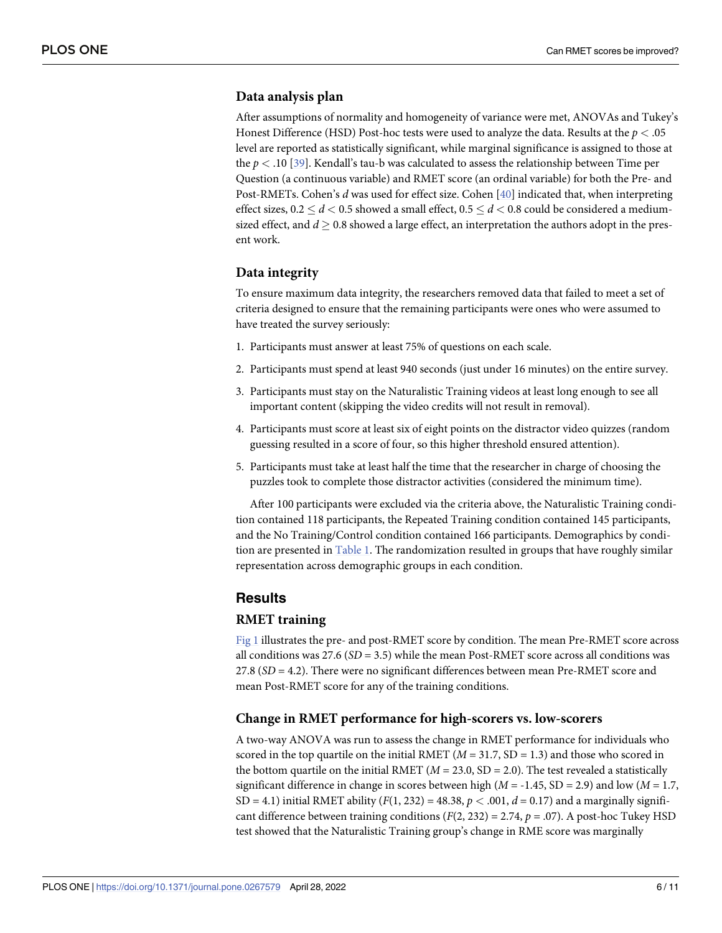# <span id="page-5-0"></span>**Data analysis plan**

After assumptions of normality and homogeneity of variance were met, ANOVAs and Tukey's Honest Difference (HSD) Post-hoc tests were used to analyze the data. Results at the *p <* .05 level are reported as statistically significant, while marginal significance is assigned to those at the  $p < .10$  [\[39\]](#page-10-0). Kendall's tau-b was calculated to assess the relationship between Time per Question (a continuous variable) and RMET score (an ordinal variable) for both the Pre- and Post-RMETs. Cohen's *d* was used for effect size. Cohen [\[40\]](#page-10-0) indicated that, when interpreting effect sizes,  $0.2 \le d < 0.5$  showed a small effect,  $0.5 \le d < 0.8$  could be considered a mediumsized effect, and  $d \geq 0.8$  showed a large effect, an interpretation the authors adopt in the present work.

#### **Data integrity**

To ensure maximum data integrity, the researchers removed data that failed to meet a set of criteria designed to ensure that the remaining participants were ones who were assumed to have treated the survey seriously:

- 1. Participants must answer at least 75% of questions on each scale.
- 2. Participants must spend at least 940 seconds (just under 16 minutes) on the entire survey.
- 3. Participants must stay on the Naturalistic Training videos at least long enough to see all important content (skipping the video credits will not result in removal).
- 4. Participants must score at least six of eight points on the distractor video quizzes (random guessing resulted in a score of four, so this higher threshold ensured attention).
- 5. Participants must take at least half the time that the researcher in charge of choosing the puzzles took to complete those distractor activities (considered the minimum time).

After 100 participants were excluded via the criteria above, the Naturalistic Training condition contained 118 participants, the Repeated Training condition contained 145 participants, and the No Training/Control condition contained 166 participants. Demographics by condition are presented in [Table](#page-6-0) 1. The randomization resulted in groups that have roughly similar representation across demographic groups in each condition.

# **Results**

#### **RMET training**

[Fig](#page-6-0) 1 illustrates the pre- and post-RMET score by condition. The mean Pre-RMET score across all conditions was 27.6 (*SD* = 3.5) while the mean Post-RMET score across all conditions was 27.8 (*SD* = 4.2). There were no significant differences between mean Pre-RMET score and mean Post-RMET score for any of the training conditions.

# **Change in RMET performance for high-scorers vs. low-scorers**

A two-way ANOVA was run to assess the change in RMET performance for individuals who scored in the top quartile on the initial RMET  $(M = 31.7, SD = 1.3)$  and those who scored in the bottom quartile on the initial RMET ( $M = 23.0$ , SD = 2.0). The test revealed a statistically significant difference in change in scores between high (*M* = -1.45, SD = 2.9) and low (*M* = 1.7, SD = 4.1) initial RMET ability  $(F(1, 232) = 48.38, p < .001, d = 0.17)$  and a marginally significant difference between training conditions  $(F(2, 232) = 2.74, p = .07)$ . A post-hoc Tukey HSD test showed that the Naturalistic Training group's change in RME score was marginally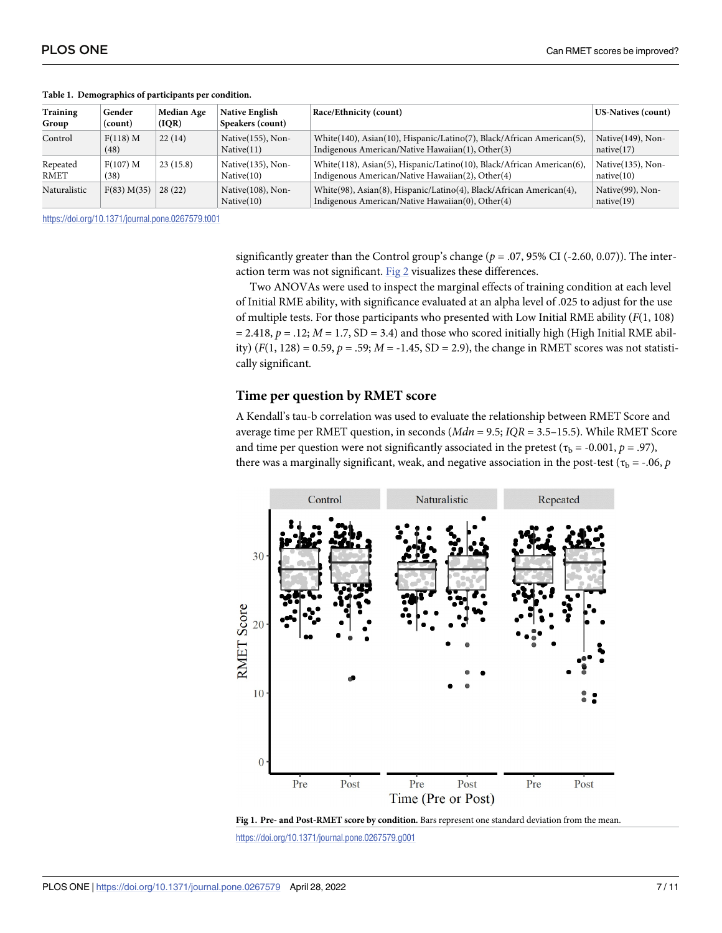| Training<br>Group | Gender<br>(count)  | <b>Median Age</b><br>( IQR) | <b>Native English</b><br>Speakers (count)    | Race/Ethnicity (count)                                                                                                    | <b>US-Natives (count)</b>       |
|-------------------|--------------------|-----------------------------|----------------------------------------------|---------------------------------------------------------------------------------------------------------------------------|---------------------------------|
| Control           | $F(118)$ M<br>(48) | 22(14)                      | Native $(155)$ , Non-<br>$\text{Native}(11)$ | White(140), Asian(10), Hispanic/Latino(7), Black/African American(5),<br>Indigenous American/Native Hawaiian(1), Other(3) | Native(149), Non-<br>native(17) |
| Repeated<br>RMET  | F(107) M<br>(38)   | 23(15.8)                    | Native(135), Non-<br>Native(10)              | White(118), Asian(5), Hispanic/Latino(10), Black/African American(6),<br>Indigenous American/Native Hawaiian(2), Other(4) | Native(135), Non-<br>native(10) |
| Naturalistic      | F(83) M(35)        | 28(22)                      | Native(108), Non-<br>Native $(10)$           | White(98), Asian(8), Hispanic/Latino(4), Black/African American(4),<br>Indigenous American/Native Hawaiian(0), Other(4)   | Native(99), Non-<br>native(19)  |

<span id="page-6-0"></span>**[Table](#page-5-0) 1. Demographics of participants per condition.**

<https://doi.org/10.1371/journal.pone.0267579.t001>

significantly greater than the Control group's change (*p* = .07, 95% CI (-2.60, 0.07)). The interaction term was not significant. [Fig](#page-7-0) 2 visualizes these differences.

Two ANOVAs were used to inspect the marginal effects of training condition at each level of Initial RME ability, with significance evaluated at an alpha level of .025 to adjust for the use of multiple tests. For those participants who presented with Low Initial RME ability (*F*(1, 108)  $= 2.418$ ,  $p = 0.12$ ;  $M = 1.7$ , SD  $= 3.4$ ) and those who scored initially high (High Initial RME ability)  $(F(1, 128) = 0.59, p = .59; M = -1.45, SD = 2.9)$ , the change in RMET scores was not statistically significant.

# **Time per question by RMET score**

A Kendall's tau-b correlation was used to evaluate the relationship between RMET Score and average time per RMET question, in seconds (*Mdn* = 9.5; *IQR* = 3.5–15.5). While RMET Score and time per question were not significantly associated in the pretest ( $\tau_b$  = -0.001, *p* = .97), there was a marginally significant, weak, and negative association in the post-test ( $\tau_b$  = -.06, *p* 





<https://doi.org/10.1371/journal.pone.0267579.g001>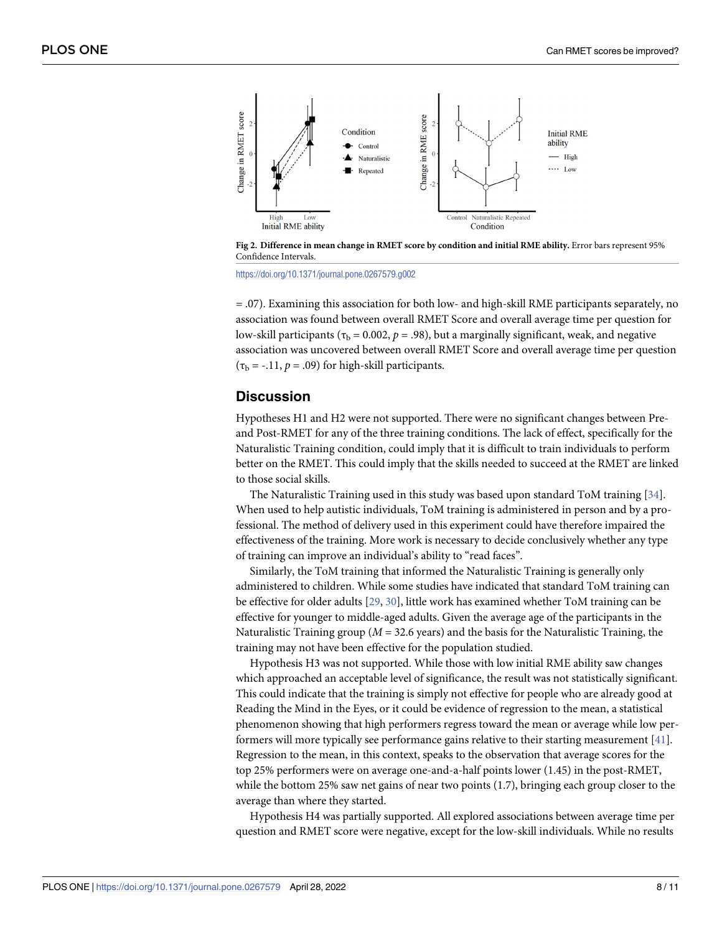<span id="page-7-0"></span>



<https://doi.org/10.1371/journal.pone.0267579.g002>

= .07). Examining this association for both low- and high-skill RME participants separately, no association was found between overall RMET Score and overall average time per question for low-skill participants ( $τ_b$  = 0.002,  $p$  = .98), but a marginally significant, weak, and negative association was uncovered between overall RMET Score and overall average time per question  $(\tau_b = -.11, p = .09)$  for high-skill participants.

# **Discussion**

Hypotheses H1 and H2 were not supported. There were no significant changes between Preand Post-RMET for any of the three training conditions. The lack of effect, specifically for the Naturalistic Training condition, could imply that it is difficult to train individuals to perform better on the RMET. This could imply that the skills needed to succeed at the RMET are linked to those social skills.

The Naturalistic Training used in this study was based upon standard ToM training [[34](#page-10-0)]. When used to help autistic individuals, ToM training is administered in person and by a professional. The method of delivery used in this experiment could have therefore impaired the effectiveness of the training. More work is necessary to decide conclusively whether any type of training can improve an individual's ability to "read faces".

Similarly, the ToM training that informed the Naturalistic Training is generally only administered to children. While some studies have indicated that standard ToM training can be effective for older adults [\[29](#page-10-0), [30](#page-10-0)], little work has examined whether ToM training can be effective for younger to middle-aged adults. Given the average age of the participants in the Naturalistic Training group (*M* = 32.6 years) and the basis for the Naturalistic Training, the training may not have been effective for the population studied.

Hypothesis H3 was not supported. While those with low initial RME ability saw changes which approached an acceptable level of significance, the result was not statistically significant. This could indicate that the training is simply not effective for people who are already good at Reading the Mind in the Eyes, or it could be evidence of regression to the mean, a statistical phenomenon showing that high performers regress toward the mean or average while low performers will more typically see performance gains relative to their starting measurement [\[41\]](#page-10-0). Regression to the mean, in this context, speaks to the observation that average scores for the top 25% performers were on average one-and-a-half points lower (1.45) in the post-RMET, while the bottom 25% saw net gains of near two points (1.7), bringing each group closer to the average than where they started.

Hypothesis H4 was partially supported. All explored associations between average time per question and RMET score were negative, except for the low-skill individuals. While no results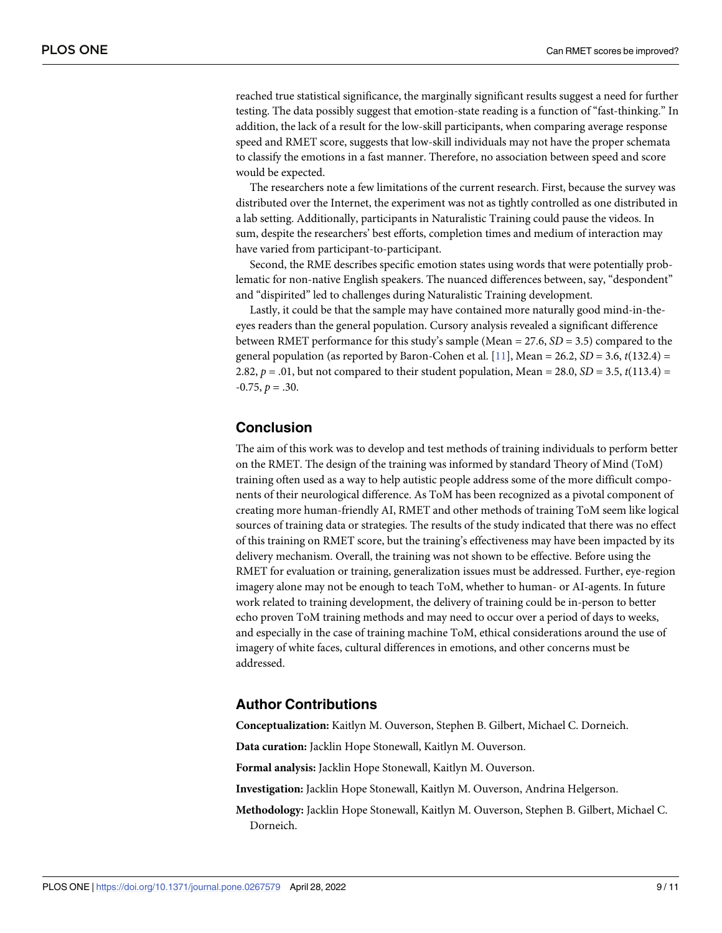reached true statistical significance, the marginally significant results suggest a need for further testing. The data possibly suggest that emotion-state reading is a function of "fast-thinking." In addition, the lack of a result for the low-skill participants, when comparing average response speed and RMET score, suggests that low-skill individuals may not have the proper schemata to classify the emotions in a fast manner. Therefore, no association between speed and score would be expected.

The researchers note a few limitations of the current research. First, because the survey was distributed over the Internet, the experiment was not as tightly controlled as one distributed in a lab setting. Additionally, participants in Naturalistic Training could pause the videos. In sum, despite the researchers' best efforts, completion times and medium of interaction may have varied from participant-to-participant.

Second, the RME describes specific emotion states using words that were potentially problematic for non-native English speakers. The nuanced differences between, say, "despondent" and "dispirited" led to challenges during Naturalistic Training development.

Lastly, it could be that the sample may have contained more naturally good mind-in-theeyes readers than the general population. Cursory analysis revealed a significant difference between RMET performance for this study's sample (Mean = 27.6, *SD* = 3.5) compared to the general population (as reported by Baron-Cohen et al. [\[11\]](#page-9-0), Mean =  $26.2$ , *SD* =  $3.6$ ,  $t(132.4)$  = 2.82,  $p = .01$ , but not compared to their student population, Mean = 28.0, *SD* = 3.5,  $t(113.4)$  =  $-0.75, p = .30.$ 

# **Conclusion**

The aim of this work was to develop and test methods of training individuals to perform better on the RMET. The design of the training was informed by standard Theory of Mind (ToM) training often used as a way to help autistic people address some of the more difficult components of their neurological difference. As ToM has been recognized as a pivotal component of creating more human-friendly AI, RMET and other methods of training ToM seem like logical sources of training data or strategies. The results of the study indicated that there was no effect of this training on RMET score, but the training's effectiveness may have been impacted by its delivery mechanism. Overall, the training was not shown to be effective. Before using the RMET for evaluation or training, generalization issues must be addressed. Further, eye-region imagery alone may not be enough to teach ToM, whether to human- or AI-agents. In future work related to training development, the delivery of training could be in-person to better echo proven ToM training methods and may need to occur over a period of days to weeks, and especially in the case of training machine ToM, ethical considerations around the use of imagery of white faces, cultural differences in emotions, and other concerns must be addressed.

# **Author Contributions**

**Conceptualization:** Kaitlyn M. Ouverson, Stephen B. Gilbert, Michael C. Dorneich.

**Data curation:** Jacklin Hope Stonewall, Kaitlyn M. Ouverson.

**Formal analysis:** Jacklin Hope Stonewall, Kaitlyn M. Ouverson.

**Investigation:** Jacklin Hope Stonewall, Kaitlyn M. Ouverson, Andrina Helgerson.

**Methodology:** Jacklin Hope Stonewall, Kaitlyn M. Ouverson, Stephen B. Gilbert, Michael C. Dorneich.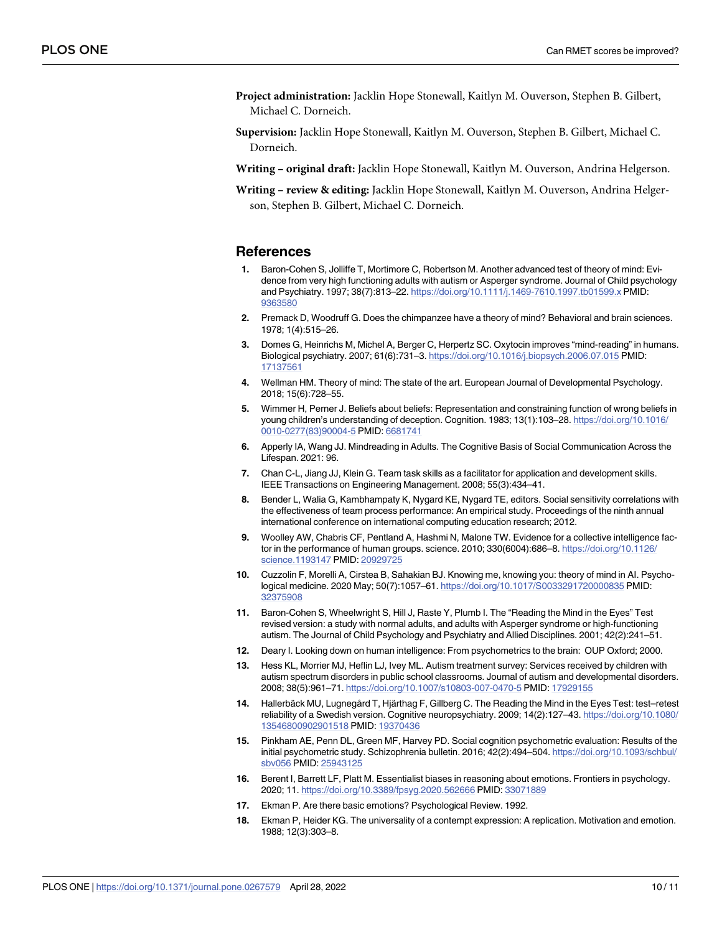- <span id="page-9-0"></span>**Project administration:** Jacklin Hope Stonewall, Kaitlyn M. Ouverson, Stephen B. Gilbert, Michael C. Dorneich.
- **Supervision:** Jacklin Hope Stonewall, Kaitlyn M. Ouverson, Stephen B. Gilbert, Michael C. Dorneich.

**Writing – original draft:** Jacklin Hope Stonewall, Kaitlyn M. Ouverson, Andrina Helgerson.

**Writing – review & editing:** Jacklin Hope Stonewall, Kaitlyn M. Ouverson, Andrina Helgerson, Stephen B. Gilbert, Michael C. Dorneich.

# **References**

- **[1](#page-0-0).** Baron-Cohen S, Jolliffe T, Mortimore C, Robertson M. Another advanced test of theory of mind: Evidence from very high functioning adults with autism or Asperger syndrome. Journal of Child psychology and Psychiatry. 1997; 38(7):813–22. <https://doi.org/10.1111/j.1469-7610.1997.tb01599.x> PMID: [9363580](http://www.ncbi.nlm.nih.gov/pubmed/9363580)
- **[2](#page-0-0).** Premack D, Woodruff G. Does the chimpanzee have a theory of mind? Behavioral and brain sciences. 1978; 1(4):515–26.
- **[3](#page-0-0).** Domes G, Heinrichs M, Michel A, Berger C, Herpertz SC. Oxytocin improves "mind-reading" in humans. Biological psychiatry. 2007; 61(6):731–3. <https://doi.org/10.1016/j.biopsych.2006.07.015> PMID: [17137561](http://www.ncbi.nlm.nih.gov/pubmed/17137561)
- **[4](#page-0-0).** Wellman HM. Theory of mind: The state of the art. European Journal of Developmental Psychology. 2018; 15(6):728–55.
- **[5](#page-0-0).** Wimmer H, Perner J. Beliefs about beliefs: Representation and constraining function of wrong beliefs in young children's understanding of deception. Cognition. 1983; 13(1):103–28. [https://doi.org/10.1016/](https://doi.org/10.1016/0010-0277%2883%2990004-5) [0010-0277\(83\)90004-5](https://doi.org/10.1016/0010-0277%2883%2990004-5) PMID: [6681741](http://www.ncbi.nlm.nih.gov/pubmed/6681741)
- **[6](#page-2-0).** Apperly IA, Wang JJ. Mindreading in Adults. The Cognitive Basis of Social Communication Across the Lifespan. 2021: 96.
- **[7](#page-1-0).** Chan C-L, Jiang JJ, Klein G. Team task skills as a facilitator for application and development skills. IEEE Transactions on Engineering Management. 2008; 55(3):434–41.
- **[8](#page-1-0).** Bender L, Walia G, Kambhampaty K, Nygard KE, Nygard TE, editors. Social sensitivity correlations with the effectiveness of team process performance: An empirical study. Proceedings of the ninth annual international conference on international computing education research; 2012.
- **[9](#page-1-0).** Woolley AW, Chabris CF, Pentland A, Hashmi N, Malone TW. Evidence for a collective intelligence factor in the performance of human groups. science. 2010; 330(6004):686–8. [https://doi.org/10.1126/](https://doi.org/10.1126/science.1193147) [science.1193147](https://doi.org/10.1126/science.1193147) PMID: [20929725](http://www.ncbi.nlm.nih.gov/pubmed/20929725)
- **[10](#page-2-0).** Cuzzolin F, Morelli A, Cirstea B, Sahakian BJ. Knowing me, knowing you: theory of mind in AI. Psychological medicine. 2020 May; 50(7):1057–61. <https://doi.org/10.1017/S0033291720000835> PMID: [32375908](http://www.ncbi.nlm.nih.gov/pubmed/32375908)
- **[11](#page-2-0).** Baron-Cohen S, Wheelwright S, Hill J, Raste Y, Plumb I. The "Reading the Mind in the Eyes" Test revised version: a study with normal adults, and adults with Asperger syndrome or high-functioning autism. The Journal of Child Psychology and Psychiatry and Allied Disciplines. 2001; 42(2):241–51.
- **[12](#page-1-0).** Deary I. Looking down on human intelligence: From psychometrics to the brain: OUP Oxford; 2000.
- **[13](#page-1-0).** Hess KL, Morrier MJ, Heflin LJ, Ivey ML. Autism treatment survey: Services received by children with autism spectrum disorders in public school classrooms. Journal of autism and developmental disorders. 2008; 38(5):961–71. <https://doi.org/10.1007/s10803-007-0470-5> PMID: [17929155](http://www.ncbi.nlm.nih.gov/pubmed/17929155)
- **[14](#page-1-0).** Hallerbäck MU, Lugnegård T, Hjärthag F, Gillberg C. The Reading the Mind in the Eyes Test: test–retest reliability of a Swedish version. Cognitive neuropsychiatry. 2009; 14(2):127–43. [https://doi.org/10.1080/](https://doi.org/10.1080/13546800902901518) [13546800902901518](https://doi.org/10.1080/13546800902901518) PMID: [19370436](http://www.ncbi.nlm.nih.gov/pubmed/19370436)
- **[15](#page-1-0).** Pinkham AE, Penn DL, Green MF, Harvey PD. Social cognition psychometric evaluation: Results of the initial psychometric study. Schizophrenia bulletin. 2016; 42(2):494-504. [https://doi.org/10.1093/schbul/](https://doi.org/10.1093/schbul/sbv056) [sbv056](https://doi.org/10.1093/schbul/sbv056) PMID: [25943125](http://www.ncbi.nlm.nih.gov/pubmed/25943125)
- **[16](#page-1-0).** Berent I, Barrett LF, Platt M. Essentialist biases in reasoning about emotions. Frontiers in psychology. 2020; 11. <https://doi.org/10.3389/fpsyg.2020.562666> PMID: [33071889](http://www.ncbi.nlm.nih.gov/pubmed/33071889)
- **17.** Ekman P. Are there basic emotions? Psychological Review. 1992.
- **[18](#page-1-0).** Ekman P, Heider KG. The universality of a contempt expression: A replication. Motivation and emotion. 1988; 12(3):303–8.